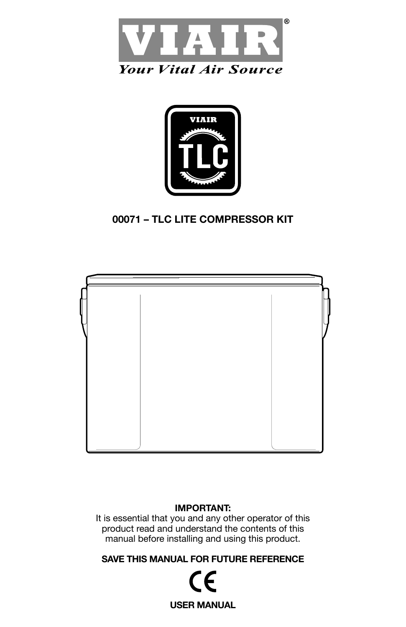





#### **IMPORTANT:**

It is essential that you and any other operator of this product read and understand the contents of this manual before installing and using this product.

**SAVE THIS MANUAL FOR FUTURE REFERENCE**

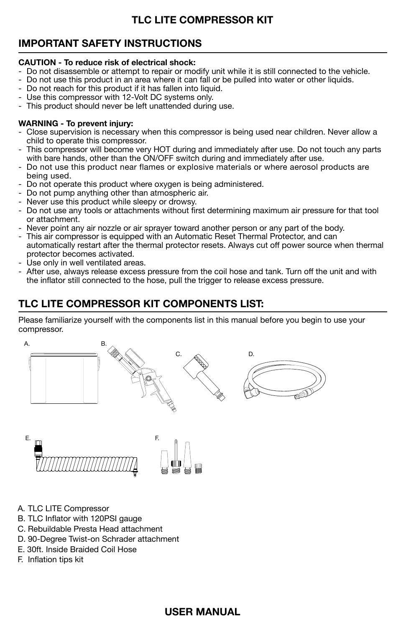# **IMPORTANT SAFETY INSTRUCTIONS**

#### **CAUTION - To reduce risk of electrical shock:**

- Do not disassemble or attempt to repair or modify unit while it is still connected to the vehicle.
- Do not use this product in an area where it can fall or be pulled into water or other liquids.
- Do not reach for this product if it has fallen into liquid.
- Use this compressor with 12-Volt DC systems only.
- This product should never be left unattended during use.

#### **WARNING - To prevent injury:**

- Close supervision is necessary when this compressor is being used near children. Never allow a child to operate this compressor.
- This compressor will become very HOT during and immediately after use. Do not touch any parts with bare hands, other than the ON/OFF switch during and immediately after use.
- Do not use this product near flames or explosive materials or where aerosol products are being used.
- Do not operate this product where oxygen is being administered.
- Do not pump anything other than atmospheric air.
- Never use this product while sleepy or drowsy.
- Do not use any tools or attachments without first determining maximum air pressure for that tool or attachment.
- Never point any air nozzle or air sprayer toward another person or any part of the body.
- This air compressor is equipped with an Automatic Reset Thermal Protector, and can automatically restart after the thermal protector resets. Always cut off power source when thermal protector becomes activated.
- Use only in well ventilated areas.
- After use, always release excess pressure from the coil hose and tank. Turn off the unit and with the inflator still connected to the hose, pull the trigger to release excess pressure.

# **TLC LITE COMPRESSOR KIT COMPONENTS LIST:**

Please familiarize yourself with the components list in this manual before you begin to use your compressor.









- A. TLC LITE Compressor
- B. TLC Inflator with 120PSI gauge
- C. Rebuildable Presta Head attachment
- D. 90-Degree Twist-on Schrader attachment
- E. 30ft. Inside Braided Coil Hose
- F. Inflation tips kit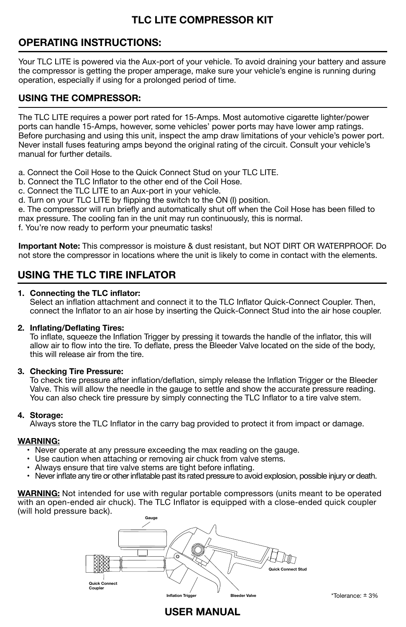### **OPERATING INSTRUCTIONS:**

Your TLC LITE is powered via the Aux-port of your vehicle. To avoid draining your battery and assure the compressor is getting the proper amperage, make sure your vehicle's engine is running during operation, especially if using for a prolonged period of time.

#### **USING THE COMPRESSOR:**

The TLC LITE requires a power port rated for 15-Amps. Most automotive cigarette lighter/power ports can handle 15-Amps, however, some vehicles' power ports may have lower amp ratings. Before purchasing and using this unit, inspect the amp draw limitations of your vehicle's power port. Never install fuses featuring amps beyond the original rating of the circuit. Consult your vehicle's manual for further details.

a. Connect the Coil Hose to the Quick Connect Stud on your TLC LITE.

b. Connect the TLC Inflator to the other end of the Coil Hose.

c. Connect the TLC LITE to an Aux-port in your vehicle.

d. Turn on your TLC LITE by flipping the switch to the ON (I) position.

e. The compressor will run briefly and automatically shut off when the Coil Hose has been filled to max pressure. The cooling fan in the unit may run continuously, this is normal.

f. You're now ready to perform your pneumatic tasks!

**Important Note:** This compressor is moisture & dust resistant, but NOT DIRT OR WATERPROOF. Do not store the compressor in locations where the unit is likely to come in contact with the elements.

### **USING THE TLC TIRE INFLATOR**

#### **1. Connecting the TLC inflator:**

Select an inflation attachment and connect it to the TLC Inflator Quick-Connect Coupler. Then, connect the Inflator to an air hose by inserting the Quick-Connect Stud into the air hose coupler.

#### **2. Inflating/Deflating Tires:**

To inflate, squeeze the Inflation Trigger by pressing it towards the handle of the inflator, this will allow air to flow into the tire. To deflate, press the Bleeder Valve located on the side of the body, this will release air from the tire.

#### **3. Checking Tire Pressure:**

To check tire pressure after inflation/deflation, simply release the Inflation Trigger or the Bleeder Valve. This will allow the needle in the gauge to settle and show the accurate pressure reading. You can also check tire pressure by simply connecting the TLC Inflator to a tire valve stem.

#### **4. Storage:**

Always store the TLC Inflator in the carry bag provided to protect it from impact or damage.

#### **WARNING:**

- Never operate at any pressure exceeding the max reading on the gauge.
- Use caution when attaching or removing air chuck from valve stems.
- Always ensure that tire valve stems are tight before inflating.
- Never inflate any tire or other inflatable past its rated pressure to avoid explosion, possible injury or death.

**WARNING:** Not intended for use with regular portable compressors (units meant to be operated with an open-ended air chuck). The TLC Inflator is equipped with a close-ended quick coupler (will hold pressure back).



\*Tolerance: ± 3%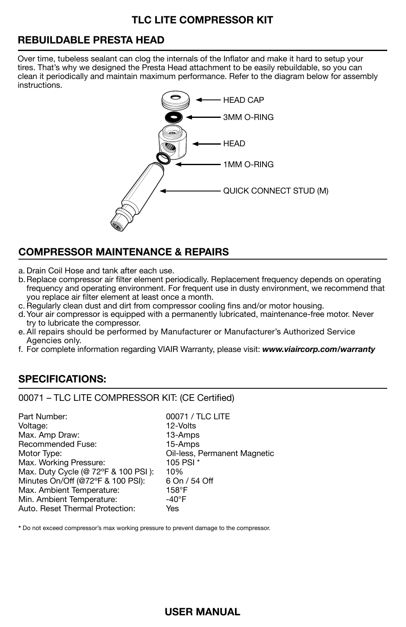### **REBUILDABLE PRESTA HEAD**

Over time, tubeless sealant can clog the internals of the Inflator and make it hard to setup your tires. That's why we designed the Presta Head attachment to be easily rebuildable, so you can clean it periodically and maintain maximum performance. Refer to the diagram below for assembly instructions.



### **COMPRESSOR MAINTENANCE & REPAIRS**

- a. Drain Coil Hose and tank after each use.
- b. Replace compressor air filter element periodically. Replacement frequency depends on operating frequency and operating environment. For frequent use in dusty environment, we recommend that you replace air filter element at least once a month.
- c. Regularly clean dust and dirt from compressor cooling fins and/or motor housing.
- d.Your air compressor is equipped with a permanently lubricated, maintenance-free motor. Never try to lubricate the compressor.
- e. All repairs should be performed by Manufacturer or Manufacturer's Authorized Service Agencies only.
- f. For complete information regarding VIAIR Warranty, please visit: *www.viaircorp.com/warranty*

### **SPECIFICATIONS:**

00071 – TLC LITE COMPRESSOR KIT: (CE Certified)

| Part Number:                        | 00071 / TLC LITE             |
|-------------------------------------|------------------------------|
| Voltage:                            | 12-Volts                     |
| Max. Amp Draw:                      | 13-Amps                      |
| Recommended Fuse:                   | 15-Amps                      |
| Motor Type:                         | Oil-less, Permanent Magnetic |
| Max. Working Pressure:              | 105 PSI *                    |
| Max. Duty Cycle (@ 72°F & 100 PSI): | 10%                          |
| Minutes On/Off (@72°F & 100 PSI):   | 6 On / 54 Off                |
| Max. Ambient Temperature:           | 158°F                        |
| Min. Ambient Temperature:           | $-40^{\circ}$ F              |
| Auto. Reset Thermal Protection:     | Yes                          |

**\*** Do not exceed compressor's max working pressure to prevent damage to the compressor.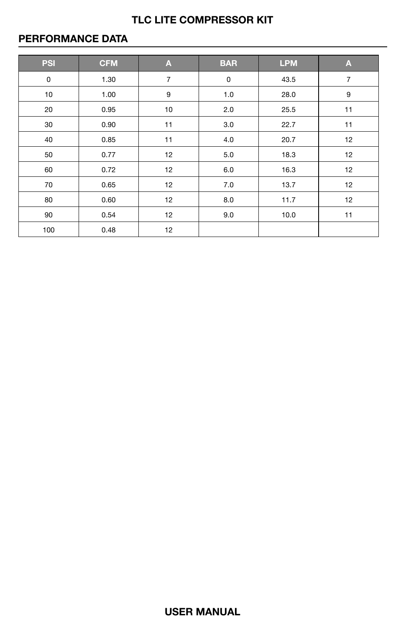# **PERFORMANCE DATA**

| <b>PSI</b> | <b>CFM</b> | A  | <b>BAR</b> | <b>LPM</b> | A              |
|------------|------------|----|------------|------------|----------------|
| 0          | 1.30       | 7  | 0          | 43.5       | $\overline{7}$ |
| 10         | 1.00       | 9  | 1.0        | 28.0       | 9              |
| 20         | 0.95       | 10 | 2.0        | 25.5       | 11             |
| 30         | 0.90       | 11 | 3.0        | 22.7       | 11             |
| 40         | 0.85       | 11 | 4.0        | 20.7       | 12             |
| 50         | 0.77       | 12 | 5.0        | 18.3       | 12             |
| 60         | 0.72       | 12 | 6.0        | 16.3       | 12             |
| 70         | 0.65       | 12 | 7.0        | 13.7       | 12             |
| 80         | 0.60       | 12 | 8.0        | 11.7       | 12             |
| 90         | 0.54       | 12 | 9.0        | 10.0       | 11             |
| 100        | 0.48       | 12 |            |            |                |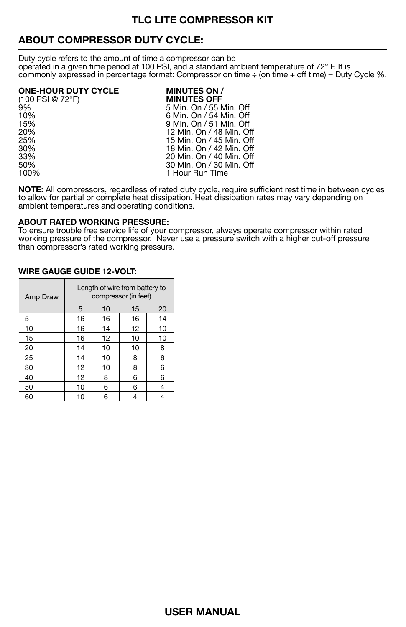### **ABOUT COMPRESSOR DUTY CYCLE:**

Duty cycle refers to the amount of time a compressor can be operated in a given time period at 100 PSI, and a standard ambient temperature of 72° F. It is commonly expressed in percentage format: Compressor on time  $\div$  (on time  $\div$  off time) = Duty Cycle %.

# **ONE-HOUR DUTY CYCLE MINUTES ON /**

- (100 PSI @ 72°F)<br>9%
- 9% 5 Min. On / 55 Min. Off 10% 6 Min. On / 54 Min. Off 15% 9 Min. On / 51 Min. Off 20% 20% 12 Min. On / 48 Min. Off<br>25% 15 Min. On / 45 Min. Off 25% 15 Min. On / 45 Min. Off 30% 18 Min. On / 42 Min. Off 33% 20 Min. On / 40 Min. Off 50% 30 Min. On / 30 Min. Off 1 Hour Run Time

**NOTE:** All compressors, regardless of rated duty cycle, require sufficient rest time in between cycles to allow for partial or complete heat dissipation. Heat dissipation rates may vary depending on ambient temperatures and operating conditions.

#### **ABOUT RATED WORKING PRESSURE:**

To ensure trouble free service life of your compressor, always operate compressor within rated working pressure of the compressor. Never use a pressure switch with a higher cut-off pressure than compressor's rated working pressure.

| Amp Draw | Length of wire from battery to<br>compressor (in feet) |    |    |    |
|----------|--------------------------------------------------------|----|----|----|
|          | 5                                                      | 10 | 15 | 20 |
| 5        | 16                                                     | 16 | 16 | 14 |
| 10       | 16                                                     | 14 | 12 | 10 |
| 15       | 16                                                     | 12 | 10 | 10 |
| 20       | 14                                                     | 10 | 10 | 8  |
| 25       | 14                                                     | 10 | 8  | 6  |
| 30       | 12                                                     | 10 | 8  | 6  |
| 40       | 12                                                     | 8  | 6  | 6  |
| 50       | 10                                                     | 6  | 6  | 4  |
| 60       | 10                                                     | 6  | 4  |    |

#### **WIRE GAUGE GUIDE 12-VOLT:**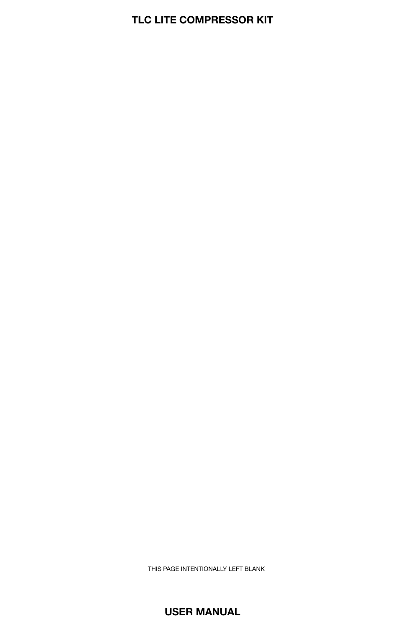THIS PAGE INTENTIONALLY LEFT BLANK